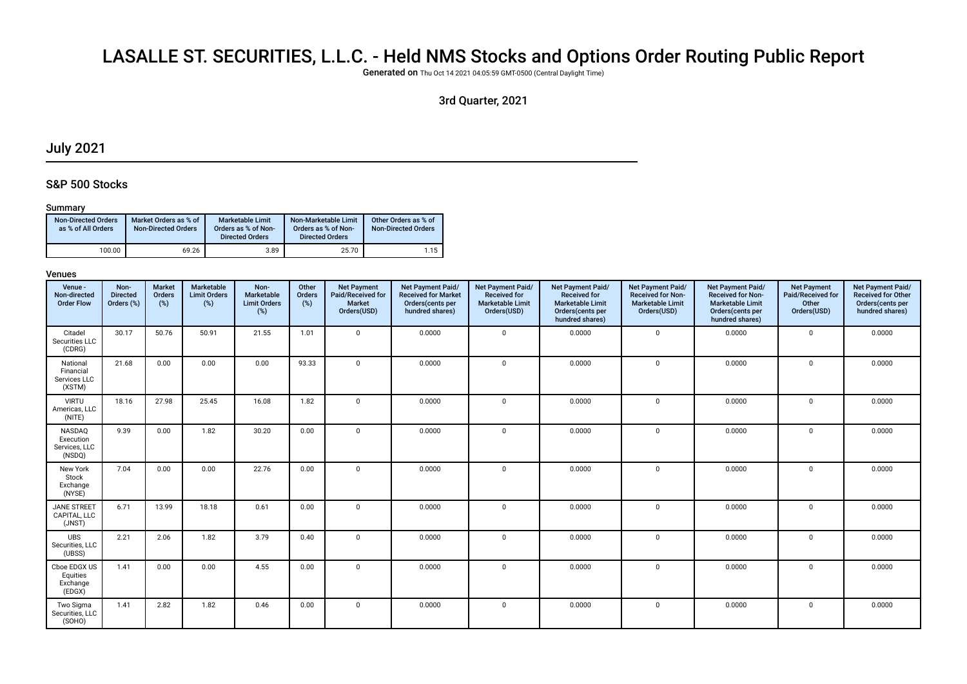# LASALLE ST. SECURITIES, L.L.C. - Held NMS Stocks and Options Order Routing Public Report

Generated on Thu Oct 14 2021 04:05:59 GMT-0500 (Central Daylight Time)

# 3rd Quarter, 2021

# July 2021

### S&P 500 Stocks

#### Summary

| <b>Non-Directed Orders</b><br>as % of All Orders | Market Orders as % of<br><b>Non-Directed Orders</b> | <b>Marketable Limit</b><br>Orders as % of Non-<br><b>Directed Orders</b> | Non-Marketable Limit<br>Orders as % of Non-<br><b>Directed Orders</b> | Other Orders as % of<br><b>Non-Directed Orders</b> |
|--------------------------------------------------|-----------------------------------------------------|--------------------------------------------------------------------------|-----------------------------------------------------------------------|----------------------------------------------------|
| 100.00                                           | 69.26                                               | 3.89                                                                     | 25.70                                                                 | 1.15                                               |

| Venue -<br>Non-directed<br><b>Order Flow</b>    | Non-<br><b>Directed</b><br>Orders (%) | <b>Market</b><br>Orders<br>(%) | Marketable<br><b>Limit Orders</b><br>$(\%)$ | Non-<br>Marketable<br><b>Limit Orders</b><br>(%) | Other<br>Orders<br>$(\%)$ | <b>Net Payment</b><br>Paid/Received for<br><b>Market</b><br>Orders(USD) | Net Payment Paid/<br><b>Received for Market</b><br>Orders(cents per<br>hundred shares) | Net Payment Paid/<br><b>Received for</b><br><b>Marketable Limit</b><br>Orders(USD) | Net Payment Paid/<br><b>Received for</b><br><b>Marketable Limit</b><br>Orders(cents per<br>hundred shares) | <b>Net Payment Paid/</b><br><b>Received for Non-</b><br><b>Marketable Limit</b><br>Orders(USD) | Net Payment Paid/<br><b>Received for Non-</b><br><b>Marketable Limit</b><br>Orders(cents per<br>hundred shares) | <b>Net Payment</b><br>Paid/Received for<br>Other<br>Orders(USD) | Net Payment Paid/<br><b>Received for Other</b><br>Orders(cents per<br>hundred shares) |
|-------------------------------------------------|---------------------------------------|--------------------------------|---------------------------------------------|--------------------------------------------------|---------------------------|-------------------------------------------------------------------------|----------------------------------------------------------------------------------------|------------------------------------------------------------------------------------|------------------------------------------------------------------------------------------------------------|------------------------------------------------------------------------------------------------|-----------------------------------------------------------------------------------------------------------------|-----------------------------------------------------------------|---------------------------------------------------------------------------------------|
| Citadel<br>Securities LLC<br>(CDRG)             | 30.17                                 | 50.76                          | 50.91                                       | 21.55                                            | 1.01                      | $\mathbf 0$                                                             | 0.0000                                                                                 | $\mathbf 0$                                                                        | 0.0000                                                                                                     | $\mathbf 0$                                                                                    | 0.0000                                                                                                          | $\mathbf{0}$                                                    | 0.0000                                                                                |
| National<br>Financial<br>Services LLC<br>(XSTM) | 21.68                                 | 0.00                           | 0.00                                        | 0.00                                             | 93.33                     | $\mathbf 0$                                                             | 0.0000                                                                                 | $\mathbf 0$                                                                        | 0.0000                                                                                                     | $\mathbf 0$                                                                                    | 0.0000                                                                                                          | $\mathbf{0}$                                                    | 0.0000                                                                                |
| <b>VIRTU</b><br>Americas, LLC<br>(NITE)         | 18.16                                 | 27.98                          | 25.45                                       | 16.08                                            | 1.82                      | $\mathbf 0$                                                             | 0.0000                                                                                 | $\mathbf 0$                                                                        | 0.0000                                                                                                     | $\mathbf 0$                                                                                    | 0.0000                                                                                                          | $\mathbf 0$                                                     | 0.0000                                                                                |
| NASDAQ<br>Execution<br>Services, LLC<br>(NSDQ)  | 9.39                                  | 0.00                           | 1.82                                        | 30.20                                            | 0.00                      | $\mathbf 0$                                                             | 0.0000                                                                                 | $\mathbf 0$                                                                        | 0.0000                                                                                                     | $\mathbf 0$                                                                                    | 0.0000                                                                                                          | $\mathbf 0$                                                     | 0.0000                                                                                |
| New York<br>Stock<br>Exchange<br>(NYSE)         | 7.04                                  | 0.00                           | 0.00                                        | 22.76                                            | 0.00                      | $\Omega$                                                                | 0.0000                                                                                 | $\Omega$                                                                           | 0.0000                                                                                                     | $\mathbf 0$                                                                                    | 0.0000                                                                                                          | $\Omega$                                                        | 0.0000                                                                                |
| <b>JANE STREET</b><br>CAPITAL, LLC<br>(JNST)    | 6.71                                  | 13.99                          | 18.18                                       | 0.61                                             | 0.00                      | $\mathbf 0$                                                             | 0.0000                                                                                 | $\Omega$                                                                           | 0.0000                                                                                                     | $\Omega$                                                                                       | 0.0000                                                                                                          | $\mathbf 0$                                                     | 0.0000                                                                                |
| <b>UBS</b><br>Securities, LLC<br>(UBSS)         | 2.21                                  | 2.06                           | 1.82                                        | 3.79                                             | 0.40                      | $\mathbf 0$                                                             | 0.0000                                                                                 | $\mathbf 0$                                                                        | 0.0000                                                                                                     | $\mathbf 0$                                                                                    | 0.0000                                                                                                          | 0                                                               | 0.0000                                                                                |
| Cboe EDGX US<br>Equities<br>Exchange<br>(EDGX)  | 1.41                                  | 0.00                           | 0.00                                        | 4.55                                             | 0.00                      | $\mathbf 0$                                                             | 0.0000                                                                                 | $\mathbf 0$                                                                        | 0.0000                                                                                                     | $\mathbf 0$                                                                                    | 0.0000                                                                                                          | $\mathbf 0$                                                     | 0.0000                                                                                |
| Two Sigma<br>Securities, LLC<br>(SOHO)          | 1.41                                  | 2.82                           | 1.82                                        | 0.46                                             | 0.00                      | $\mathbf 0$                                                             | 0.0000                                                                                 | $\mathbf 0$                                                                        | 0.0000                                                                                                     | $\mathbf{0}$                                                                                   | 0.0000                                                                                                          | $\mathbf{0}$                                                    | 0.0000                                                                                |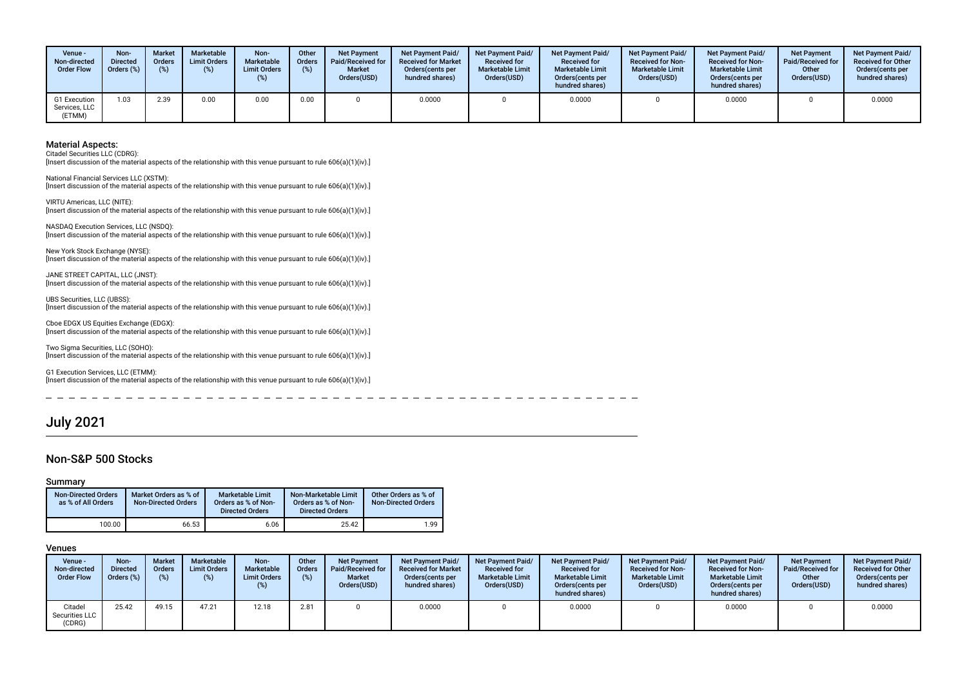| Venue -<br>Non-directed<br><b>Order Flow</b> | Non-<br><b>Directed</b><br>Orders (%) | <b>Market</b><br><b>Orders</b><br>(%) | Marketable<br><b>Limit Orders</b> | Non-<br>Marketable<br><b>Limit Orders</b><br>(%) | Other<br><b>Orders</b><br>(%) | <b>Net Payment</b><br><b>Paid/Received for</b><br><b>Market</b><br>Orders(USD) | <b>Net Payment Paid/</b><br><b>Received for Market</b><br>Orders cents per<br>hundred shares) | <b>Net Payment Paid/</b><br><b>Received for</b><br><b>Marketable Limit</b><br>Orders(USD) | <b>Net Payment Paid/</b><br><b>Received for</b><br><b>Marketable Limit</b><br>Orders (cents per<br>hundred shares) | <b>Net Payment Paid/</b><br><b>Received for Non-</b><br><b>Marketable Limit</b><br>Orders(USD) | Net Payment Paid/<br><b>Received for Non-</b><br><b>Marketable Limit</b><br>Orders(cents per<br>hundred shares) | <b>Net Payment</b><br><b>Paid/Received for</b><br>Other<br>Orders(USD) | <b>Net Payment Paid/</b><br><b>Received for Other</b><br>Orders (cents per<br>hundred shares) |
|----------------------------------------------|---------------------------------------|---------------------------------------|-----------------------------------|--------------------------------------------------|-------------------------------|--------------------------------------------------------------------------------|-----------------------------------------------------------------------------------------------|-------------------------------------------------------------------------------------------|--------------------------------------------------------------------------------------------------------------------|------------------------------------------------------------------------------------------------|-----------------------------------------------------------------------------------------------------------------|------------------------------------------------------------------------|-----------------------------------------------------------------------------------------------|
| G1 Execution<br>Services, LLC<br>(ETMM)      | .03                                   | 2.39                                  | 0.00                              | 0.00                                             | 0.00                          |                                                                                | 0.0000                                                                                        |                                                                                           | 0.0000                                                                                                             |                                                                                                | 0.0000                                                                                                          |                                                                        | 0.0000                                                                                        |

Citadel Securities LLC (CDRG):

[Insert discussion of the material aspects of the relationship with this venue pursuant to rule 606(a)(1)(iv).]

National Financial Services LLC (XSTM): [Insert discussion of the material aspects of the relationship with this venue pursuant to rule 606(a)(1)(iv).]

VIRTU Americas, LLC (NITE): [Insert discussion of the material aspects of the relationship with this venue pursuant to rule 606(a)(1)(iv).]

NASDAQ Execution Services, LLC (NSDQ): [Insert discussion of the material aspects of the relationship with this venue pursuant to rule 606(a)(1)(iv).]

New York Stock Exchange (NYSE): [Insert discussion of the material aspects of the relationship with this venue pursuant to rule 606(a)(1)(iv).]

JANE STREET CAPITAL, LLC (JNST): [Insert discussion of the material aspects of the relationship with this venue pursuant to rule 606(a)(1)(iv).]

UBS Securities, LLC (UBSS): [Insert discussion of the material aspects of the relationship with this venue pursuant to rule 606(a)(1)(iv).]

Cboe EDGX US Equities Exchange (EDGX): [Insert discussion of the material aspects of the relationship with this venue pursuant to rule 606(a)(1)(iv).]

Two Sigma Securities, LLC (SOHO): [Insert discussion of the material aspects of the relationship with this venue pursuant to rule 606(a)(1)(iv).]

G1 Execution Services, LLC (ETMM): [Insert discussion of the material aspects of the relationship with this venue pursuant to rule 606(a)(1)(iv).]

# July 2021

 $=$   $-$ 

### Non-S&P 500 Stocks

#### Summary

| <b>Non-Directed Orders</b><br>as % of All Orders | Market Orders as % of<br><b>Non-Directed Orders</b> | <b>Marketable Limit</b><br>Orders as % of Non-<br><b>Directed Orders</b> | Non-Marketable Limit<br>Orders as % of Non-<br><b>Directed Orders</b> | Other Orders as % of<br><b>Non-Directed Orders</b> |
|--------------------------------------------------|-----------------------------------------------------|--------------------------------------------------------------------------|-----------------------------------------------------------------------|----------------------------------------------------|
| 100.00                                           | 66.53                                               | 6.06                                                                     | 25.42                                                                 | 1.99                                               |

 $-$ 

| Venue -<br>Non-directed<br><b>Order Flow</b> | Non-<br><b>Directed</b><br>Orders (%) | <b>Market</b><br><b>Orders</b><br>$(\%)$ | Marketable<br><b>Limit Orders</b><br>(%) | Non-<br>Marketable<br><b>Limit Orders</b><br>(%) | Other<br><b>Orders</b><br>(%) | <b>Net Payment</b><br><b>Paid/Received for</b><br><b>Market</b><br>Orders(USD) | Net Payment Paid/<br><b>Received for Market</b><br>Orders cents per<br>hundred shares) | Net Payment Paid/<br><b>Received for</b><br><b>Marketable Limit</b><br>Orders(USD) | <b>Net Payment Paid/</b><br><b>Received for</b><br><b>Marketable Limit</b><br>Orders (cents per<br>hundred shares) | <b>Net Payment Paid/</b><br><b>Received for Non-</b><br><b>Marketable Limit</b><br>Orders(USD) | <b>Net Payment Paid/</b><br><b>Received for Non-</b><br><b>Marketable Limit</b><br>Orders (cents per<br>hundred shares) | <b>Net Payment</b><br>Paid/Received for<br>Other<br>Orders(USD) | Net Payment Paid/<br><b>Received for Other</b><br>Orders (cents per<br>hundred shares) |
|----------------------------------------------|---------------------------------------|------------------------------------------|------------------------------------------|--------------------------------------------------|-------------------------------|--------------------------------------------------------------------------------|----------------------------------------------------------------------------------------|------------------------------------------------------------------------------------|--------------------------------------------------------------------------------------------------------------------|------------------------------------------------------------------------------------------------|-------------------------------------------------------------------------------------------------------------------------|-----------------------------------------------------------------|----------------------------------------------------------------------------------------|
| Citadel<br>Securities LLC<br>(CDRG)          | 25.42                                 | 49.15                                    | 47.21                                    | 12.18                                            | 2.81                          |                                                                                | 0.0000                                                                                 |                                                                                    | 0.0000                                                                                                             |                                                                                                | 0.0000                                                                                                                  |                                                                 | 0.0000                                                                                 |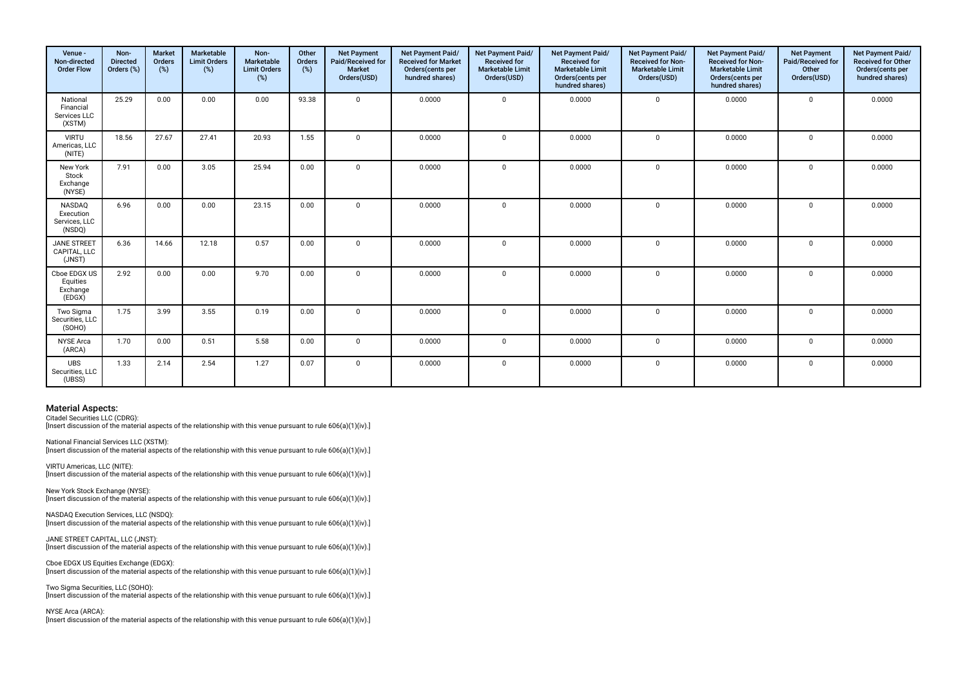| Venue -<br>Non-directed<br><b>Order Flow</b>    | Non-<br><b>Directed</b><br>Orders (%) | <b>Market</b><br><b>Orders</b><br>(%) | Marketable<br><b>Limit Orders</b><br>(%) | Non-<br>Marketable<br><b>Limit Orders</b><br>(%) | Other<br>Orders<br>(%) | <b>Net Payment</b><br>Paid/Received for<br><b>Market</b><br>Orders(USD) | Net Payment Paid/<br><b>Received for Market</b><br>Orders(cents per<br>hundred shares) | Net Payment Paid/<br><b>Received for</b><br><b>Marketable Limit</b><br>Orders(USD) | Net Payment Paid/<br>Received for<br><b>Marketable Limit</b><br>Orders(cents per<br>hundred shares) | Net Payment Paid/<br><b>Received for Non-</b><br><b>Marketable Limit</b><br>Orders(USD) | Net Payment Paid/<br><b>Received for Non-</b><br><b>Marketable Limit</b><br>Orders(cents per<br>hundred shares) | <b>Net Payment</b><br>Paid/Received for<br>Other<br>Orders(USD) | Net Payment Paid/<br><b>Received for Other</b><br>Orders(cents per<br>hundred shares) |
|-------------------------------------------------|---------------------------------------|---------------------------------------|------------------------------------------|--------------------------------------------------|------------------------|-------------------------------------------------------------------------|----------------------------------------------------------------------------------------|------------------------------------------------------------------------------------|-----------------------------------------------------------------------------------------------------|-----------------------------------------------------------------------------------------|-----------------------------------------------------------------------------------------------------------------|-----------------------------------------------------------------|---------------------------------------------------------------------------------------|
| National<br>Financial<br>Services LLC<br>(XSTM) | 25.29                                 | 0.00                                  | 0.00                                     | 0.00                                             | 93.38                  | $\mathbf 0$                                                             | 0.0000                                                                                 | $\Omega$                                                                           | 0.0000                                                                                              | $\mathbf 0$                                                                             | 0.0000                                                                                                          | $\Omega$                                                        | 0.0000                                                                                |
| <b>VIRTU</b><br>Americas, LLC<br>(NITE)         | 18.56                                 | 27.67                                 | 27.41                                    | 20.93                                            | 1.55                   | $\mathbf 0$                                                             | 0.0000                                                                                 | $\Omega$                                                                           | 0.0000                                                                                              | $\mathbf 0$                                                                             | 0.0000                                                                                                          | $\mathbf 0$                                                     | 0.0000                                                                                |
| New York<br>Stock<br>Exchange<br>(NYSE)         | 7.91                                  | 0.00                                  | 3.05                                     | 25.94                                            | 0.00                   | $\Omega$                                                                | 0.0000                                                                                 | $\Omega$                                                                           | 0.0000                                                                                              | $\mathbf 0$                                                                             | 0.0000                                                                                                          | $\Omega$                                                        | 0.0000                                                                                |
| NASDAQ<br>Execution<br>Services, LLC<br>(NSDQ)  | 6.96                                  | 0.00                                  | 0.00                                     | 23.15                                            | 0.00                   | $\Omega$                                                                | 0.0000                                                                                 | $\Omega$                                                                           | 0.0000                                                                                              | $\mathbf 0$                                                                             | 0.0000                                                                                                          | $\mathbf 0$                                                     | 0.0000                                                                                |
| JANE STREET<br>CAPITAL, LLC<br>(JNST)           | 6.36                                  | 14.66                                 | 12.18                                    | 0.57                                             | 0.00                   | $\Omega$                                                                | 0.0000                                                                                 | $\Omega$                                                                           | 0.0000                                                                                              | $\mathbf 0$                                                                             | 0.0000                                                                                                          | $\Omega$                                                        | 0.0000                                                                                |
| Cboe EDGX US<br>Equities<br>Exchange<br>(EDGX)  | 2.92                                  | 0.00                                  | 0.00                                     | 9.70                                             | 0.00                   | $\mathbf 0$                                                             | 0.0000                                                                                 | $\mathbf 0$                                                                        | 0.0000                                                                                              | $\mathbf 0$                                                                             | 0.0000                                                                                                          | $\mathbf 0$                                                     | 0.0000                                                                                |
| Two Sigma<br>Securities, LLC<br>(SOHO)          | 1.75                                  | 3.99                                  | 3.55                                     | 0.19                                             | 0.00                   | $\Omega$                                                                | 0.0000                                                                                 | $\Omega$                                                                           | 0.0000                                                                                              | $\mathbf 0$                                                                             | 0.0000                                                                                                          | $\Omega$                                                        | 0.0000                                                                                |
| <b>NYSE</b> Arca<br>(ARCA)                      | 1.70                                  | 0.00                                  | 0.51                                     | 5.58                                             | 0.00                   | $\Omega$                                                                | 0.0000                                                                                 | $\Omega$                                                                           | 0.0000                                                                                              | $\mathbf 0$                                                                             | 0.0000                                                                                                          | $\mathbf 0$                                                     | 0.0000                                                                                |
| <b>UBS</b><br>Securities, LLC<br>(UBSS)         | 1.33                                  | 2.14                                  | 2.54                                     | 1.27                                             | 0.07                   | $\mathbf 0$                                                             | 0.0000                                                                                 | $\Omega$                                                                           | 0.0000                                                                                              | 0                                                                                       | 0.0000                                                                                                          | $\mathbf 0$                                                     | 0.0000                                                                                |

Citadel Securities LLC (CDRG):

[Insert discussion of the material aspects of the relationship with this venue pursuant to rule 606(a)(1)(iv).]

National Financial Services LLC (XSTM):

[Insert discussion of the material aspects of the relationship with this venue pursuant to rule 606(a)(1)(iv).]

VIRTU Americas, LLC (NITE): Insert discussion of the material aspects of the relationship with this venue pursuant to rule 606(a)(1)(iv).]

New York Stock Exchange (NYSE): [Insert discussion of the material aspects of the relationship with this venue pursuant to rule 606(a)(1)(iv).]

NASDAQ Execution Services, LLC (NSDQ): [Insert discussion of the material aspects of the relationship with this venue pursuant to rule 606(a)(1)(iv).]

JANE STREET CAPITAL, LLC (JNST): [Insert discussion of the material aspects of the relationship with this venue pursuant to rule 606(a)(1)(iv).]

Cboe EDGX US Equities Exchange (EDGX): [Insert discussion of the material aspects of the relationship with this venue pursuant to rule 606(a)(1)(iv).]

Two Sigma Securities, LLC (SOHO): [Insert discussion of the material aspects of the relationship with this venue pursuant to rule 606(a)(1)(iv).]

NYSE Arca (ARCA): [Insert discussion of the material aspects of the relationship with this venue pursuant to rule 606(a)(1)(iv).]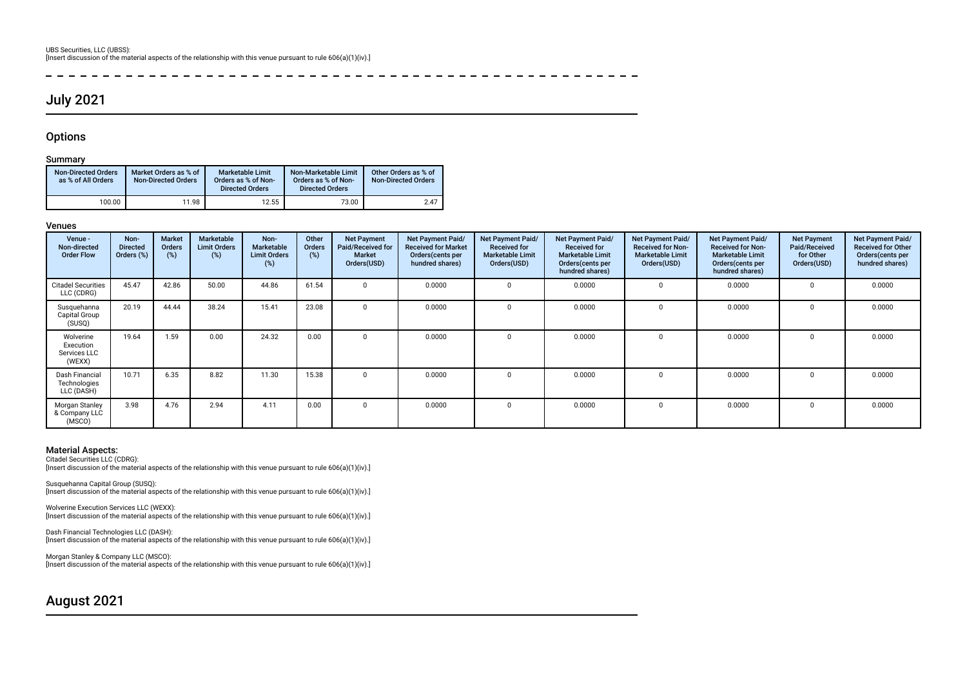#### $\sim$

# July 2021

### **Options**

 $\overline{a}$ 

#### Summary

| <b>Non-Directed Orders</b><br>as % of All Orders | Market Orders as % of<br><b>Non-Directed Orders</b> | <b>Marketable Limit</b><br>Orders as % of Non-<br><b>Directed Orders</b> | Non-Marketable Limit<br>Orders as % of Non-<br><b>Directed Orders</b> | Other Orders as % of<br><b>Non-Directed Orders</b> |
|--------------------------------------------------|-----------------------------------------------------|--------------------------------------------------------------------------|-----------------------------------------------------------------------|----------------------------------------------------|
| 100.00                                           | $11.98$ .                                           | 12.55                                                                    | 73.00                                                                 | 2.47                                               |

#### Venues

| Venue -<br>Non-directed<br><b>Order Flow</b>     | Non-<br><b>Directed</b><br>Orders (%) | <b>Market</b><br>Orders<br>(%) | <b>Marketable</b><br><b>Limit Orders</b><br>(%) | Non-<br>Marketable<br><b>Limit Orders</b><br>(%) | Other<br><b>Orders</b><br>(%) | <b>Net Payment</b><br>Paid/Received for<br><b>Market</b><br>Orders(USD) | Net Payment Paid/<br><b>Received for Market</b><br>Orders (cents per<br>hundred shares) | Net Payment Paid/<br><b>Received for</b><br><b>Marketable Limit</b><br>Orders(USD) | <b>Net Payment Paid/</b><br><b>Received for</b><br><b>Marketable Limit</b><br>Orders(cents per<br>hundred shares) | <b>Net Payment Paid/</b><br><b>Received for Non-</b><br><b>Marketable Limit</b><br>Orders(USD) | Net Payment Paid/<br><b>Received for Non-</b><br><b>Marketable Limit</b><br>Orders (cents per<br>hundred shares) | <b>Net Payment</b><br>Paid/Received<br>for Other<br>Orders(USD) | <b>Net Payment Paid/</b><br><b>Received for Other</b><br>Orders(cents per<br>hundred shares) |
|--------------------------------------------------|---------------------------------------|--------------------------------|-------------------------------------------------|--------------------------------------------------|-------------------------------|-------------------------------------------------------------------------|-----------------------------------------------------------------------------------------|------------------------------------------------------------------------------------|-------------------------------------------------------------------------------------------------------------------|------------------------------------------------------------------------------------------------|------------------------------------------------------------------------------------------------------------------|-----------------------------------------------------------------|----------------------------------------------------------------------------------------------|
| <b>Citadel Securities</b><br>LLC (CDRG)          | 45.47                                 | 42.86                          | 50.00                                           | 44.86                                            | 61.54                         | $\Omega$                                                                | 0.0000                                                                                  | $\Omega$                                                                           | 0.0000                                                                                                            |                                                                                                | 0.0000                                                                                                           | $\Omega$                                                        | 0.0000                                                                                       |
| Susquehanna<br>Capital Group<br>(SUSQ)           | 20.19                                 | 44.44                          | 38.24                                           | 15.41                                            | 23.08                         | $\Omega$                                                                | 0.0000                                                                                  | $\Omega$                                                                           | 0.0000                                                                                                            |                                                                                                | 0.0000                                                                                                           |                                                                 | 0.0000                                                                                       |
| Wolverine<br>Execution<br>Services LLC<br>(WEXX) | 19.64                                 | 1.59                           | 0.00                                            | 24.32                                            | 0.00                          | 0                                                                       | 0.0000                                                                                  | $\Omega$                                                                           | 0.0000                                                                                                            |                                                                                                | 0.0000                                                                                                           |                                                                 | 0.0000                                                                                       |
| Dash Financial<br>Technologies<br>LLC (DASH)     | 10.71                                 | 6.35                           | 8.82                                            | 11.30                                            | 15.38                         | $\Omega$                                                                | 0.0000                                                                                  | $\Omega$                                                                           | 0.0000                                                                                                            |                                                                                                | 0.0000                                                                                                           | $\Omega$                                                        | 0.0000                                                                                       |
| Morgan Stanley<br>& Company LLC<br>(MSCO)        | 3.98                                  | 4.76                           | 2.94                                            | 4.11                                             | 0.00                          | $\Omega$                                                                | 0.0000                                                                                  | 0                                                                                  | 0.0000                                                                                                            |                                                                                                | 0.0000                                                                                                           | 0                                                               | 0.0000                                                                                       |

 $\frac{1}{2}$ 

#### Material Aspects:

Citadel Securities LLC (CDRG): [Insert discussion of the material aspects of the relationship with this venue pursuant to rule 606(a)(1)(iv).]

Susquehanna Capital Group (SUSQ):

[Insert discussion of the material aspects of the relationship with this venue pursuant to rule 606(a)(1)(iv).]

Wolverine Execution Services LLC (WEXX): [Insert discussion of the material aspects of the relationship with this venue pursuant to rule 606(a)(1)(iv).]

Dash Financial Technologies LLC (DASH): [Insert discussion of the material aspects of the relationship with this venue pursuant to rule 606(a)(1)(iv).]

Morgan Stanley & Company LLC (MSCO): [Insert discussion of the material aspects of the relationship with this venue pursuant to rule 606(a)(1)(iv).]

# August 2021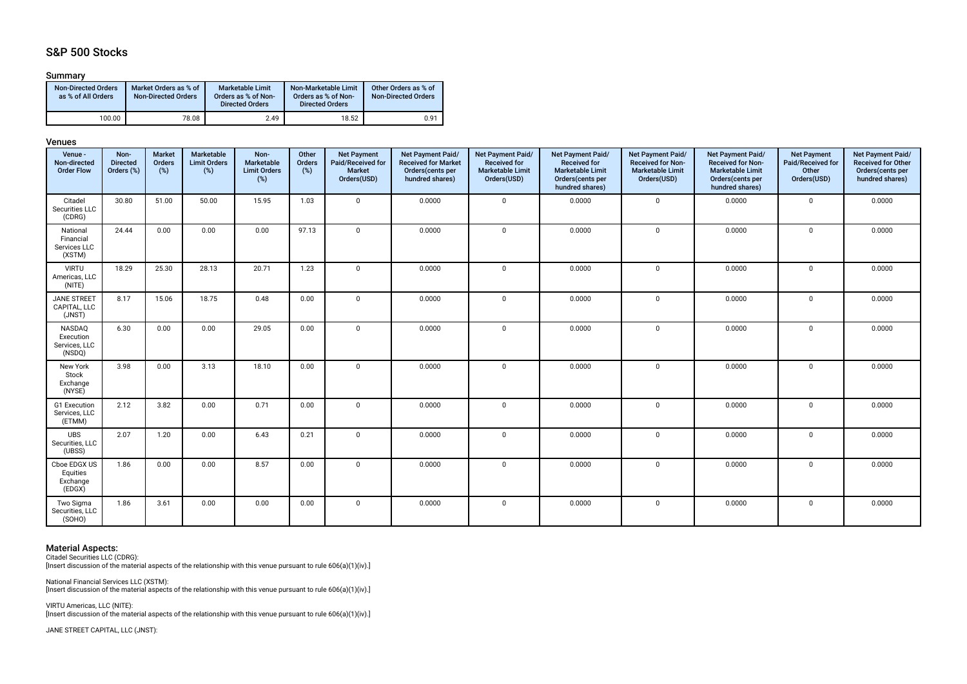# S&P 500 Stocks

#### Summary

| <b>Non-Directed Orders</b><br>as % of All Orders | Market Orders as % of<br><b>Non-Directed Orders</b> | <b>Marketable Limit</b><br>Orders as % of Non-<br><b>Directed Orders</b> | Non-Marketable Limit<br>Orders as % of Non-<br><b>Directed Orders</b> | Other Orders as % of<br><b>Non-Directed Orders</b> |
|--------------------------------------------------|-----------------------------------------------------|--------------------------------------------------------------------------|-----------------------------------------------------------------------|----------------------------------------------------|
| 100.00                                           | 78.08                                               | 2.49                                                                     | 18.52                                                                 | 0.91                                               |

#### Venues

| Venue -<br>Non-directed<br><b>Order Flow</b>    | Non-<br><b>Directed</b><br>Orders (%) | <b>Market</b><br>Orders<br>(%) | Marketable<br><b>Limit Orders</b><br>(%) | Non-<br>Marketable<br><b>Limit Orders</b><br>(%) | Other<br>Orders<br>(%) | <b>Net Payment</b><br>Paid/Received for<br>Market<br>Orders(USD) | Net Payment Paid/<br><b>Received for Market</b><br>Orders(cents per<br>hundred shares) | Net Payment Paid/<br><b>Received for</b><br><b>Marketable Limit</b><br>Orders(USD) | <b>Net Payment Paid/</b><br><b>Received for</b><br><b>Marketable Limit</b><br>Orders(cents per<br>hundred shares) | Net Payment Paid/<br><b>Received for Non-</b><br><b>Marketable Limit</b><br>Orders(USD) | Net Payment Paid/<br><b>Received for Non-</b><br><b>Marketable Limit</b><br>Orders(cents per<br>hundred shares) | <b>Net Payment</b><br>Paid/Received for<br>Other<br>Orders(USD) | Net Payment Paid/<br><b>Received for Other</b><br>Orders(cents per<br>hundred shares) |
|-------------------------------------------------|---------------------------------------|--------------------------------|------------------------------------------|--------------------------------------------------|------------------------|------------------------------------------------------------------|----------------------------------------------------------------------------------------|------------------------------------------------------------------------------------|-------------------------------------------------------------------------------------------------------------------|-----------------------------------------------------------------------------------------|-----------------------------------------------------------------------------------------------------------------|-----------------------------------------------------------------|---------------------------------------------------------------------------------------|
| Citadel<br>Securities LLC<br>(CDRG)             | 30.80                                 | 51.00                          | 50.00                                    | 15.95                                            | 1.03                   | $\overline{0}$                                                   | 0.0000                                                                                 | $\mathbf 0$                                                                        | 0.0000                                                                                                            | $\mathbf 0$                                                                             | 0.0000                                                                                                          | $\mathbf 0$                                                     | 0.0000                                                                                |
| National<br>Financial<br>Services LLC<br>(XSTM) | 24.44                                 | 0.00                           | 0.00                                     | 0.00                                             | 97.13                  | $\mathbf 0$                                                      | 0.0000                                                                                 | $\mathbf 0$                                                                        | 0.0000                                                                                                            | $\mathbf 0$                                                                             | 0.0000                                                                                                          | 0                                                               | 0.0000                                                                                |
| <b>VIRTU</b><br>Americas, LLC<br>(NITE)         | 18.29                                 | 25.30                          | 28.13                                    | 20.71                                            | 1.23                   | $\overline{\mathbf{0}}$                                          | 0.0000                                                                                 | $\mathbf 0$                                                                        | 0.0000                                                                                                            | $\mathbf 0$                                                                             | 0.0000                                                                                                          | $\mathsf{O}$                                                    | 0.0000                                                                                |
| <b>JANE STREET</b><br>CAPITAL, LLC<br>(JNST)    | 8.17                                  | 15.06                          | 18.75                                    | 0.48                                             | 0.00                   | $\mathbf 0$                                                      | 0.0000                                                                                 | $\mathbf 0$                                                                        | 0.0000                                                                                                            | $\mathbf 0$                                                                             | 0.0000                                                                                                          | 0                                                               | 0.0000                                                                                |
| NASDAQ<br>Execution<br>Services, LLC<br>(NSDQ)  | 6.30                                  | 0.00                           | 0.00                                     | 29.05                                            | 0.00                   | $\mathbf 0$                                                      | 0.0000                                                                                 | $\mathbf 0$                                                                        | 0.0000                                                                                                            | $\mathbf 0$                                                                             | 0.0000                                                                                                          | 0                                                               | 0.0000                                                                                |
| New York<br>Stock<br>Exchange<br>(NYSE)         | 3.98                                  | 0.00                           | 3.13                                     | 18.10                                            | 0.00                   | $\mathbf 0$                                                      | 0.0000                                                                                 | $\mathbf 0$                                                                        | 0.0000                                                                                                            | $\mathbf 0$                                                                             | 0.0000                                                                                                          | $\mathbf 0$                                                     | 0.0000                                                                                |
| G1 Execution<br>Services, LLC<br>(ETMM)         | 2.12                                  | 3.82                           | 0.00                                     | 0.71                                             | 0.00                   | $\overline{0}$                                                   | 0.0000                                                                                 | $\Omega$                                                                           | 0.0000                                                                                                            | $\mathbf 0$                                                                             | 0.0000                                                                                                          | 0                                                               | 0.0000                                                                                |
| <b>UBS</b><br>Securities, LLC<br>(UBSS)         | 2.07                                  | 1.20                           | 0.00                                     | 6.43                                             | 0.21                   | $\overline{0}$                                                   | 0.0000                                                                                 | $\Omega$                                                                           | 0.0000                                                                                                            | $\mathbf 0$                                                                             | 0.0000                                                                                                          | $\mathbf 0$                                                     | 0.0000                                                                                |
| Cboe EDGX US<br>Equities<br>Exchange<br>(EDGX)  | 1.86                                  | 0.00                           | 0.00                                     | 8.57                                             | 0.00                   | $\mathbf 0$                                                      | 0.0000                                                                                 | $\Omega$                                                                           | 0.0000                                                                                                            | $\mathbf 0$                                                                             | 0.0000                                                                                                          | 0                                                               | 0.0000                                                                                |
| Two Sigma<br>Securities, LLC<br>(SOHO)          | 1.86                                  | 3.61                           | 0.00                                     | 0.00                                             | 0.00                   | $\overline{0}$                                                   | 0.0000                                                                                 | $\mathbf 0$                                                                        | 0.0000                                                                                                            | $\mathbf 0$                                                                             | 0.0000                                                                                                          | 0                                                               | 0.0000                                                                                |

# Material Aspects: Citadel Securities LLC (CDRG):

[Insert discussion of the material aspects of the relationship with this venue pursuant to rule 606(a)(1)(iv).]

National Financial Services LLC (XSTM): [Insert discussion of the material aspects of the relationship with this venue pursuant to rule 606(a)(1)(iv).]

VIRTU Americas, LLC (NITE): [Insert discussion of the material aspects of the relationship with this venue pursuant to rule 606(a)(1)(iv).]

JANE STREET CAPITAL, LLC (JNST):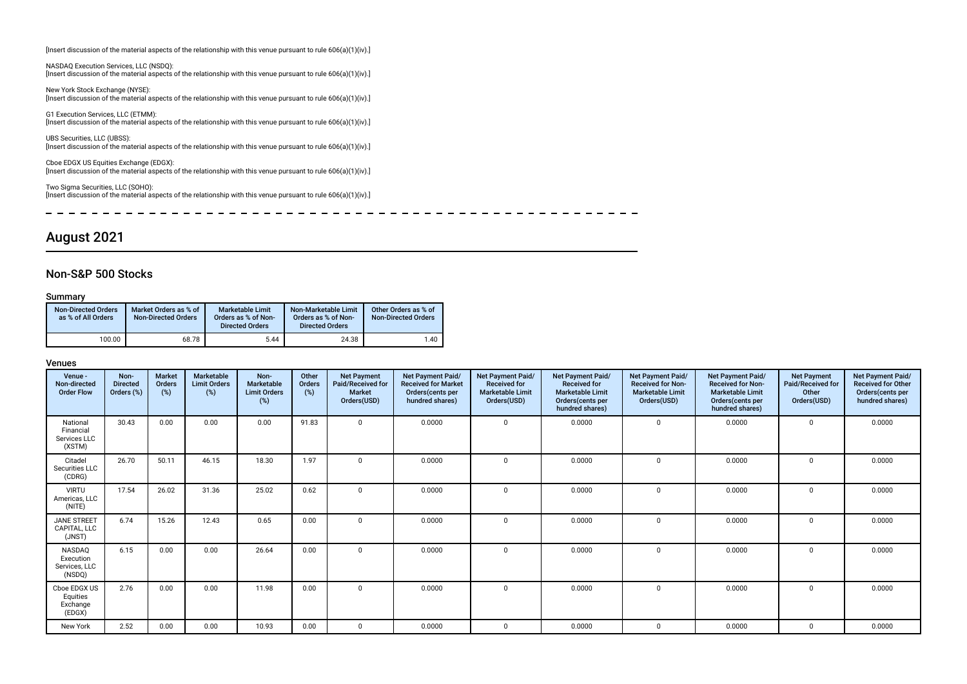[Insert discussion of the material aspects of the relationship with this venue pursuant to rule 606(a)(1)(iv).]

NASDAQ Execution Services, LLC (NSDQ): [Insert discussion of the material aspects of the relationship with this venue pursuant to rule 606(a)(1)(iv).]

New York Stock Exchange (NYSE): [Insert discussion of the material aspects of the relationship with this venue pursuant to rule 606(a)(1)(iv).]

G1 Execution Services, LLC (ETMM): [Insert discussion of the material aspects of the relationship with this venue pursuant to rule 606(a)(1)(iv).]

UBS Securities, LLC (UBSS): [Insert discussion of the material aspects of the relationship with this venue pursuant to rule 606(a)(1)(iv).]

Cboe EDGX US Equities Exchange (EDGX): [Insert discussion of the material aspects of the relationship with this venue pursuant to rule 606(a)(1)(iv).]

Two Sigma Securities, LLC (SOHO): [Insert discussion of the material aspects of the relationship with this venue pursuant to rule 606(a)(1)(iv).]

 $\blacksquare$ ------------------------- $\frac{1}{2}$  $\sim$   $- - - - - - - -$ 

# August 2021

### Non-S&P 500 Stocks

#### Summary

| <b>Non-Directed Orders</b><br>as % of All Orders | Market Orders as % of<br><b>Non-Directed Orders</b> | <b>Marketable Limit</b><br>Orders as % of Non-<br><b>Directed Orders</b> | Non-Marketable Limit<br>Orders as % of Non-<br><b>Directed Orders</b> | Other Orders as % of<br><b>Non-Directed Orders</b> |
|--------------------------------------------------|-----------------------------------------------------|--------------------------------------------------------------------------|-----------------------------------------------------------------------|----------------------------------------------------|
| 100.00                                           | 68.78                                               | 5.44                                                                     | 24.38                                                                 | 1.40                                               |

| Venue -<br>Non-directed<br><b>Order Flow</b>          | Non-<br><b>Directed</b><br>Orders (%) | <b>Market</b><br>Orders<br>$(\%)$ | Marketable<br><b>Limit Orders</b><br>$(\%)$ | Non-<br>Marketable<br><b>Limit Orders</b><br>(%) | Other<br>Orders<br>(%) | <b>Net Payment</b><br>Paid/Received for<br><b>Market</b><br>Orders(USD) | Net Payment Paid/<br><b>Received for Market</b><br>Orders(cents per<br>hundred shares) | Net Payment Paid/<br><b>Received for</b><br><b>Marketable Limit</b><br>Orders(USD) | Net Payment Paid/<br>Received for<br><b>Marketable Limit</b><br>Orders(cents per<br>hundred shares) | Net Payment Paid/<br><b>Received for Non-</b><br><b>Marketable Limit</b><br>Orders(USD) | <b>Net Payment Paid/</b><br><b>Received for Non-</b><br><b>Marketable Limit</b><br>Orders (cents per<br>hundred shares) | <b>Net Payment</b><br>Paid/Received for<br>Other<br>Orders(USD) | Net Payment Paid/<br><b>Received for Other</b><br>Orders(cents per<br>hundred shares) |
|-------------------------------------------------------|---------------------------------------|-----------------------------------|---------------------------------------------|--------------------------------------------------|------------------------|-------------------------------------------------------------------------|----------------------------------------------------------------------------------------|------------------------------------------------------------------------------------|-----------------------------------------------------------------------------------------------------|-----------------------------------------------------------------------------------------|-------------------------------------------------------------------------------------------------------------------------|-----------------------------------------------------------------|---------------------------------------------------------------------------------------|
| National<br>Financial<br>Services LLC<br>(XSTM)       | 30.43                                 | 0.00                              | 0.00                                        | 0.00                                             | 91.83                  | $\Omega$                                                                | 0.0000                                                                                 | $\Omega$                                                                           | 0.0000                                                                                              | $\mathbf 0$                                                                             | 0.0000                                                                                                                  | $\Omega$                                                        | 0.0000                                                                                |
| Citadel<br>Securities LLC<br>(CDRG)                   | 26.70                                 | 50.11                             | 46.15                                       | 18.30                                            | 1.97                   | $\Omega$                                                                | 0.0000                                                                                 | $\mathbf 0$                                                                        | 0.0000                                                                                              | $\mathbf 0$                                                                             | 0.0000                                                                                                                  | $\Omega$                                                        | 0.0000                                                                                |
| <b>VIRTU</b><br>Americas, LLC<br>(NITE)               | 17.54                                 | 26.02                             | 31.36                                       | 25.02                                            | 0.62                   | $\Omega$                                                                | 0.0000                                                                                 | $\Omega$                                                                           | 0.0000                                                                                              | $\Omega$                                                                                | 0.0000                                                                                                                  | $\Omega$                                                        | 0.0000                                                                                |
| <b>JANE STREET</b><br>CAPITAL, LLC<br>(JNST)          | 6.74                                  | 15.26                             | 12.43                                       | 0.65                                             | 0.00                   | $\Omega$                                                                | 0.0000                                                                                 | $\Omega$                                                                           | 0.0000                                                                                              | $\Omega$                                                                                | 0.0000                                                                                                                  | $\Omega$                                                        | 0.0000                                                                                |
| <b>NASDAO</b><br>Execution<br>Services. LLC<br>(NSDQ) | 6.15                                  | 0.00                              | 0.00                                        | 26.64                                            | 0.00                   | $\Omega$                                                                | 0.0000                                                                                 | $\Omega$                                                                           | 0.0000                                                                                              | $\Omega$                                                                                | 0.0000                                                                                                                  |                                                                 | 0.0000                                                                                |
| Cboe EDGX US<br>Equities<br>Exchange<br>(EDGX)        | 2.76                                  | 0.00                              | 0.00                                        | 11.98                                            | 0.00                   | $\Omega$                                                                | 0.0000                                                                                 | $\Omega$                                                                           | 0.0000                                                                                              | $\Omega$                                                                                | 0.0000                                                                                                                  | $\Omega$                                                        | 0.0000                                                                                |
| New York                                              | 2.52                                  | 0.00                              | 0.00                                        | 10.93                                            | 0.00                   |                                                                         | 0.0000                                                                                 | $\Omega$                                                                           | 0.0000                                                                                              | $\Omega$                                                                                | 0.0000                                                                                                                  | <sup>n</sup>                                                    | 0.0000                                                                                |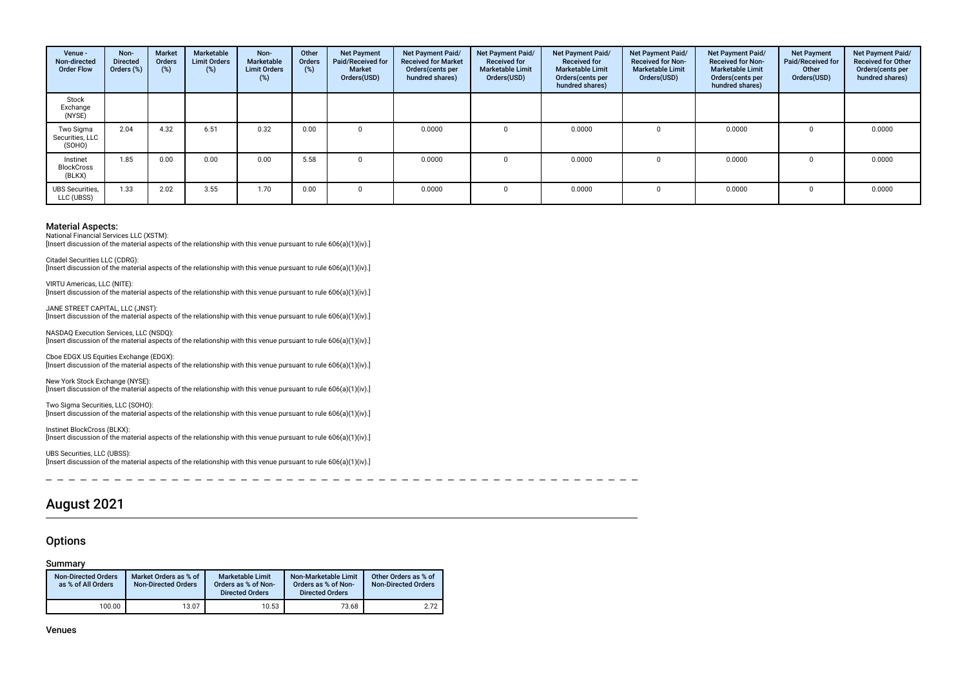| Venue -<br>Non-directed<br><b>Order Flow</b> | Non-<br><b>Directed</b><br>Orders (%) | Market<br><b>Orders</b><br>(%) | Marketable<br><b>Limit Orders</b><br>$(\%)$ | Non-<br>Marketable<br><b>Limit Orders</b><br>(%) | Other<br><b>Orders</b><br>(%) | <b>Net Payment</b><br>Paid/Received for<br><b>Market</b><br>Orders(USD) | Net Payment Paid/<br><b>Received for Market</b><br>Orders (cents per<br>hundred shares) | Net Payment Paid/<br><b>Received for</b><br><b>Marketable Limit</b><br>Orders(USD) | <b>Net Payment Paid/</b><br><b>Received for</b><br><b>Marketable Limit</b><br>Orders(cents per<br>hundred shares) | Net Payment Paid/<br><b>Received for Non-</b><br><b>Marketable Limit</b><br>Orders(USD) | <b>Net Payment Paid/</b><br><b>Received for Non-</b><br><b>Marketable Limit</b><br>Orders(cents per<br>hundred shares) | <b>Net Payment</b><br>Paid/Received for<br>Other<br>Orders(USD) | Net Payment Paid/<br><b>Received for Other</b><br>Orders(cents per<br>hundred shares) |
|----------------------------------------------|---------------------------------------|--------------------------------|---------------------------------------------|--------------------------------------------------|-------------------------------|-------------------------------------------------------------------------|-----------------------------------------------------------------------------------------|------------------------------------------------------------------------------------|-------------------------------------------------------------------------------------------------------------------|-----------------------------------------------------------------------------------------|------------------------------------------------------------------------------------------------------------------------|-----------------------------------------------------------------|---------------------------------------------------------------------------------------|
| Stock<br>Exchange<br>(NYSE)                  |                                       |                                |                                             |                                                  |                               |                                                                         |                                                                                         |                                                                                    |                                                                                                                   |                                                                                         |                                                                                                                        |                                                                 |                                                                                       |
| Two Sigma<br>Securities, LLC<br>(SOHO)       | 2.04                                  | 4.32                           | 6.51                                        | 0.32                                             | 0.00                          |                                                                         | 0.0000                                                                                  |                                                                                    | 0.0000                                                                                                            |                                                                                         | 0.0000                                                                                                                 |                                                                 | 0.0000                                                                                |
| Instinet<br><b>BlockCross</b><br>(BLKX)      | 1.85                                  | 0.00                           | 0.00                                        | 0.00                                             | 5.58                          |                                                                         | 0.0000                                                                                  |                                                                                    | 0.0000                                                                                                            |                                                                                         | 0.0000                                                                                                                 |                                                                 | 0.0000                                                                                |
| <b>UBS Securities,</b><br>LLC (UBSS)         | 1.33                                  | 2.02                           | 3.55                                        | 1.70                                             | 0.00                          |                                                                         | 0.0000                                                                                  |                                                                                    | 0.0000                                                                                                            |                                                                                         | 0.0000                                                                                                                 |                                                                 | 0.0000                                                                                |

National Financial Services LLC (XSTM):

NASDAQ Execution Services, LLC (NSDQ):

[Insert discussion of the material aspects of the relationship with this venue pursuant to rule 606(a)(1)(iv).]

Citadel Securities LLC (CDRG): [Insert discussion of the material aspects of the relationship with this venue pursuant to rule 606(a)(1)(iv).]

VIRTU Americas, LLC (NITE): [Insert discussion of the material aspects of the relationship with this venue pursuant to rule 606(a)(1)(iv).]

JANE STREET CAPITAL, LLC (JNST): [Insert discussion of the material aspects of the relationship with this venue pursuant to rule 606(a)(1)(iv).]

[Insert discussion of the material aspects of the relationship with this venue pursuant to rule 606(a)(1)(iv).] Cboe EDGX US Equities Exchange (EDGX):

[Insert discussion of the material aspects of the relationship with this venue pursuant to rule 606(a)(1)(iv).]

New York Stock Exchange (NYSE): [Insert discussion of the material aspects of the relationship with this venue pursuant to rule 606(a)(1)(iv).]

Two Sigma Securities, LLC (SOHO): [Insert discussion of the material aspects of the relationship with this venue pursuant to rule 606(a)(1)(iv).]

Instinet BlockCross (BLKX): [Insert discussion of the material aspects of the relationship with this venue pursuant to rule 606(a)(1)(iv).]

UBS Securities, LLC (UBSS): [Insert discussion of the material aspects of the relationship with this venue pursuant to rule 606(a)(1)(iv).]

 $\sim$  $-$ 

# August 2021

### **Options**

#### Summary

| <b>Non-Directed Orders</b><br>as % of All Orders | Market Orders as % of<br><b>Non-Directed Orders</b> | <b>Marketable Limit</b><br>Orders as % of Non-<br><b>Directed Orders</b> | Non-Marketable Limit<br>Orders as % of Non-<br><b>Directed Orders</b> | Other Orders as % of<br><b>Non-Directed Orders</b> |
|--------------------------------------------------|-----------------------------------------------------|--------------------------------------------------------------------------|-----------------------------------------------------------------------|----------------------------------------------------|
| 100.00                                           | 13.07                                               | 10.53                                                                    | 73.68                                                                 | 2.72                                               |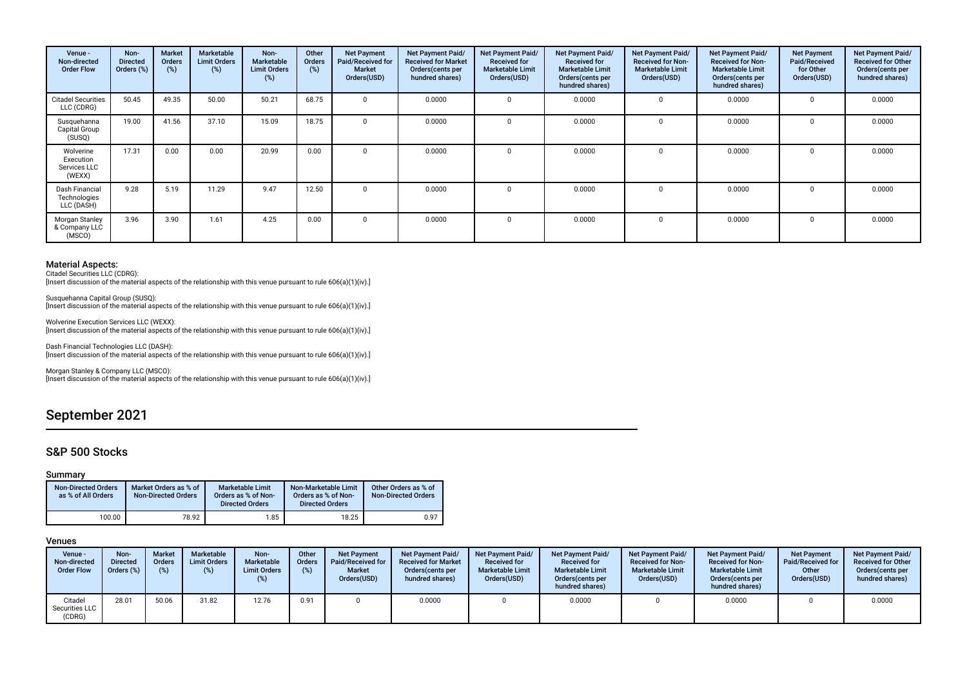| Venue -<br>Non-directed<br><b>Order Flow</b>     | Non-<br><b>Directed</b><br>Orders (%) | <b>Market</b><br><b>Orders</b><br>(%) | Marketable<br><b>Limit Orders</b><br>(%) | Non-<br>Marketable<br><b>Limit Orders</b><br>(%) | Other<br><b>Orders</b><br>(%) | <b>Net Payment</b><br>Paid/Received for<br><b>Market</b><br>Orders(USD) | Net Payment Paid/<br><b>Received for Market</b><br>Orders(cents per<br>hundred shares) | Net Payment Paid/<br><b>Received for</b><br><b>Marketable Limit</b><br>Orders(USD) | Net Payment Paid/<br><b>Received for</b><br><b>Marketable Limit</b><br>Orders (cents per<br>hundred shares) | Net Payment Paid/<br><b>Received for Non-</b><br><b>Marketable Limit</b><br>Orders(USD) | <b>Net Payment Paid/</b><br><b>Received for Non-</b><br><b>Marketable Limit</b><br>Orders(cents per<br>hundred shares) | <b>Net Payment</b><br>Paid/Received<br>for Other<br>Orders(USD) | Net Payment Paid/<br><b>Received for Other</b><br>Orders(cents per<br>hundred shares) |
|--------------------------------------------------|---------------------------------------|---------------------------------------|------------------------------------------|--------------------------------------------------|-------------------------------|-------------------------------------------------------------------------|----------------------------------------------------------------------------------------|------------------------------------------------------------------------------------|-------------------------------------------------------------------------------------------------------------|-----------------------------------------------------------------------------------------|------------------------------------------------------------------------------------------------------------------------|-----------------------------------------------------------------|---------------------------------------------------------------------------------------|
| <b>Citadel Securities</b><br>LLC (CDRG)          | 50.45                                 | 49.35                                 | 50.00                                    | 50.21                                            | 68.75                         |                                                                         | 0.0000                                                                                 |                                                                                    | 0.0000                                                                                                      |                                                                                         | 0.0000                                                                                                                 |                                                                 | 0.0000                                                                                |
| Susquehanna<br>Capital Group<br>(SUSQ)           | 19.00                                 | 41.56                                 | 37.10                                    | 15.09                                            | 18.75                         | $\Omega$                                                                | 0.0000                                                                                 |                                                                                    | 0.0000                                                                                                      |                                                                                         | 0.0000                                                                                                                 |                                                                 | 0.0000                                                                                |
| Wolverine<br>Execution<br>Services LLC<br>(WEXX) | 17.31                                 | 0.00                                  | 0.00                                     | 20.99                                            | 0.00                          | $\Omega$                                                                | 0.0000                                                                                 | $\Omega$                                                                           | 0.0000                                                                                                      |                                                                                         | 0.0000                                                                                                                 |                                                                 | 0.0000                                                                                |
| Dash Financial<br>Technologies<br>LLC (DASH)     | 9.28                                  | 5.19                                  | 11.29                                    | 9.47                                             | 12.50                         | $\Omega$                                                                | 0.0000                                                                                 |                                                                                    | 0.0000                                                                                                      |                                                                                         | 0.0000                                                                                                                 |                                                                 | 0.0000                                                                                |
| Morgan Stanley<br>& Company LLC<br>(MSCO)        | 3.96                                  | 3.90                                  | 1.61                                     | 4.25                                             | 0.00                          | $\Omega$                                                                | 0.0000                                                                                 |                                                                                    | 0.0000                                                                                                      |                                                                                         | 0.0000                                                                                                                 |                                                                 | 0.0000                                                                                |

Citadel Securities LLC (CDRG): [Insert discussion of the material aspects of the relationship with this venue pursuant to rule 606(a)(1)(iv).]

Susquehanna Capital Group (SUSQ): [Insert discussion of the material aspects of the relationship with this venue pursuant to rule 606(a)(1)(iv).]

Wolverine Execution Services LLC (WEXX): [Insert discussion of the material aspects of the relationship with this venue pursuant to rule 606(a)(1)(iv).]

Dash Financial Technologies LLC (DASH): [Insert discussion of the material aspects of the relationship with this venue pursuant to rule 606(a)(1)(iv).]

Morgan Stanley & Company LLC (MSCO): [Insert discussion of the material aspects of the relationship with this venue pursuant to rule 606(a)(1)(iv).]

# September 2021

### S&P 500 Stocks

#### Summary

| <b>Non-Directed Orders</b><br>as % of All Orders | Market Orders as % of<br><b>Non-Directed Orders</b> | <b>Marketable Limit</b><br>Orders as % of Non-<br><b>Directed Orders</b> | Non-Marketable Limit<br>Orders as % of Non-<br><b>Directed Orders</b> | Other Orders as % of<br><b>Non-Directed Orders</b> |
|--------------------------------------------------|-----------------------------------------------------|--------------------------------------------------------------------------|-----------------------------------------------------------------------|----------------------------------------------------|
| 100.00                                           | 78.92                                               | 1.85                                                                     | 18.25                                                                 | 0.97                                               |

| Venue -<br>Non-directed<br><b>Order Flow</b> | Non-<br><b>Directed</b><br>Orders (%) | <b>Market</b><br><b>Orders</b><br>(%) | Marketable<br><b>Limit Orders</b><br>(%) | Non-<br>Marketable<br><b>Limit Orders</b><br>(%) | Other<br><b>Orders</b><br>(%) | <b>Net Payment</b><br>Paid/Received for<br><b>Market</b><br>Orders(USD) | Net Payment Paid/<br><b>Received for Market</b><br>Orders (cents per<br>hundred shares) | <b>Net Payment Paid/</b><br><b>Received for</b><br><b>Marketable Limit</b><br>Orders(USD) | <b>Net Payment Paid/</b><br><b>Received for</b><br><b>Marketable Limit</b><br>Orders (cents per<br>hundred shares) | <b>Net Payment Paid/</b><br><b>Received for Non-</b><br><b>Marketable Limit</b><br>Orders(USD) | <b>Net Payment Paid/</b><br><b>Received for Non-</b><br><b>Marketable Limit</b><br>Orders (cents per<br>hundred shares) | <b>Net Payment</b><br>Paid/Received for<br>Other<br>Orders(USD) | <b>Net Payment Paid/</b><br><b>Received for Other</b><br>Orders(cents per<br>hundred shares) |
|----------------------------------------------|---------------------------------------|---------------------------------------|------------------------------------------|--------------------------------------------------|-------------------------------|-------------------------------------------------------------------------|-----------------------------------------------------------------------------------------|-------------------------------------------------------------------------------------------|--------------------------------------------------------------------------------------------------------------------|------------------------------------------------------------------------------------------------|-------------------------------------------------------------------------------------------------------------------------|-----------------------------------------------------------------|----------------------------------------------------------------------------------------------|
| Citadel<br>Securities LLC<br>(CDRG)          | 28.01                                 | 50.06                                 | 31.82                                    | 12.76                                            | 0.91                          |                                                                         | 0.0000                                                                                  |                                                                                           | 0.0000                                                                                                             |                                                                                                | 0.0000                                                                                                                  |                                                                 | 0.0000                                                                                       |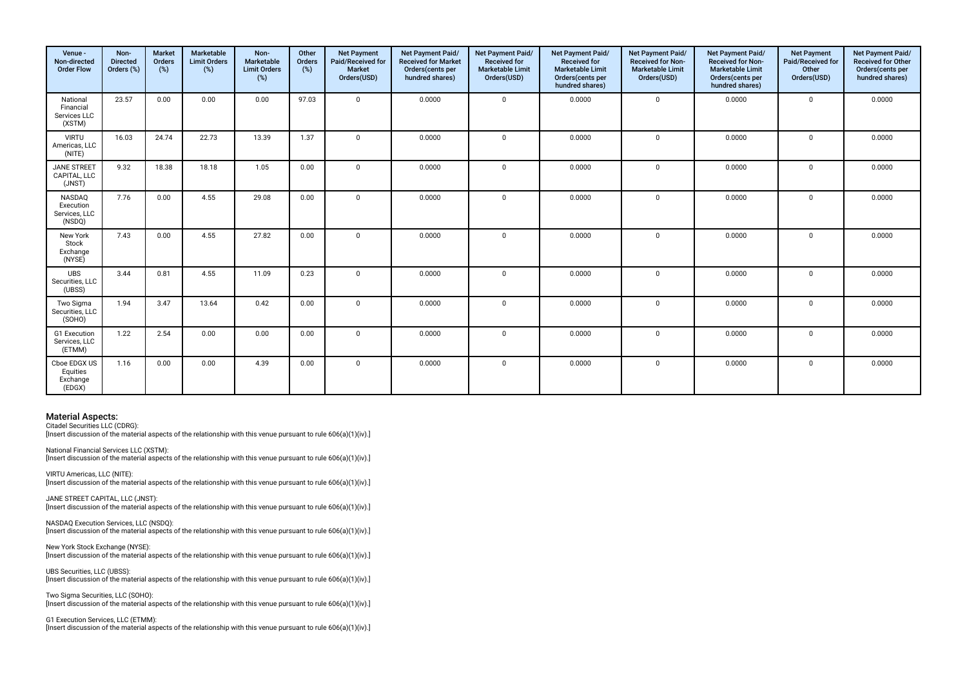| Venue -<br>Non-directed<br><b>Order Flow</b>    | Non-<br><b>Directed</b><br>Orders (%) | <b>Market</b><br>Orders<br>(%) | Marketable<br><b>Limit Orders</b><br>(%) | Non-<br>Marketable<br><b>Limit Orders</b><br>(%) | Other<br>Orders<br>(%) | <b>Net Payment</b><br>Paid/Received for<br><b>Market</b><br>Orders(USD) | Net Payment Paid/<br><b>Received for Market</b><br>Orders(cents per<br>hundred shares) | Net Payment Paid/<br><b>Received for</b><br><b>Marketable Limit</b><br>Orders(USD) | Net Payment Paid/<br><b>Received for</b><br><b>Marketable Limit</b><br>Orders(cents per<br>hundred shares) | Net Payment Paid/<br><b>Received for Non-</b><br><b>Marketable Limit</b><br>Orders(USD) | Net Payment Paid/<br><b>Received for Non-</b><br><b>Marketable Limit</b><br>Orders(cents per<br>hundred shares) | <b>Net Payment</b><br>Paid/Received for<br>Other<br>Orders(USD) | Net Payment Paid/<br><b>Received for Other</b><br>Orders(cents per<br>hundred shares) |
|-------------------------------------------------|---------------------------------------|--------------------------------|------------------------------------------|--------------------------------------------------|------------------------|-------------------------------------------------------------------------|----------------------------------------------------------------------------------------|------------------------------------------------------------------------------------|------------------------------------------------------------------------------------------------------------|-----------------------------------------------------------------------------------------|-----------------------------------------------------------------------------------------------------------------|-----------------------------------------------------------------|---------------------------------------------------------------------------------------|
| National<br>Financial<br>Services LLC<br>(XSTM) | 23.57                                 | 0.00                           | 0.00                                     | 0.00                                             | 97.03                  | $\mathbf 0$                                                             | 0.0000                                                                                 | $\mathbf{0}$                                                                       | 0.0000                                                                                                     | $\mathbf 0$                                                                             | 0.0000                                                                                                          | $\mathbf 0$                                                     | 0.0000                                                                                |
| <b>VIRTU</b><br>Americas, LLC<br>(NITE)         | 16.03                                 | 24.74                          | 22.73                                    | 13.39                                            | 1.37                   | $\overline{0}$                                                          | 0.0000                                                                                 | $\Omega$                                                                           | 0.0000                                                                                                     | $\mathbf 0$                                                                             | 0.0000                                                                                                          | $\mathbf 0$                                                     | 0.0000                                                                                |
| JANE STREET<br>CAPITAL, LLC<br>(JNST)           | 9.32                                  | 18.38                          | 18.18                                    | 1.05                                             | 0.00                   | $\overline{0}$                                                          | 0.0000                                                                                 | $\mathbf 0$                                                                        | 0.0000                                                                                                     | $\mathbf 0$                                                                             | 0.0000                                                                                                          | $\mathbf 0$                                                     | 0.0000                                                                                |
| NASDAQ<br>Execution<br>Services, LLC<br>(NSDQ)  | 7.76                                  | 0.00                           | 4.55                                     | 29.08                                            | 0.00                   | $\overline{0}$                                                          | 0.0000                                                                                 | $\mathbf 0$                                                                        | 0.0000                                                                                                     | $\mathbf 0$                                                                             | 0.0000                                                                                                          | $\mathbf 0$                                                     | 0.0000                                                                                |
| New York<br>Stock<br>Exchange<br>(NYSE)         | 7.43                                  | 0.00                           | 4.55                                     | 27.82                                            | 0.00                   | $\mathbf 0$                                                             | 0.0000                                                                                 | $\mathbf{0}$                                                                       | 0.0000                                                                                                     | $\mathbf 0$                                                                             | 0.0000                                                                                                          | $\Omega$                                                        | 0.0000                                                                                |
| <b>UBS</b><br>Securities, LLC<br>(UBSS)         | 3.44                                  | 0.81                           | 4.55                                     | 11.09                                            | 0.23                   | $\mathbf 0$                                                             | 0.0000                                                                                 | $\Omega$                                                                           | 0.0000                                                                                                     | $\mathbf 0$                                                                             | 0.0000                                                                                                          | $\Omega$                                                        | 0.0000                                                                                |
| Two Sigma<br>Securities, LLC<br>(SOHO)          | 1.94                                  | 3.47                           | 13.64                                    | 0.42                                             | 0.00                   | $\overline{0}$                                                          | 0.0000                                                                                 | $\mathbf 0$                                                                        | 0.0000                                                                                                     | 0                                                                                       | 0.0000                                                                                                          | $\Omega$                                                        | 0.0000                                                                                |
| G1 Execution<br>Services, LLC<br>(ETMM)         | 1.22                                  | 2.54                           | 0.00                                     | 0.00                                             | 0.00                   | $\overline{0}$                                                          | 0.0000                                                                                 | $\mathbf 0$                                                                        | 0.0000                                                                                                     | 0                                                                                       | 0.0000                                                                                                          | $\Omega$                                                        | 0.0000                                                                                |
| Cboe EDGX US<br>Equities<br>Exchange<br>(EDGX)  | 1.16                                  | 0.00                           | 0.00                                     | 4.39                                             | 0.00                   | $\mathbf{0}$                                                            | 0.0000                                                                                 | $\Omega$                                                                           | 0.0000                                                                                                     | 0                                                                                       | 0.0000                                                                                                          | $\Omega$                                                        | 0.0000                                                                                |

Citadel Securities LLC (CDRG): [Insert discussion of the material aspects of the relationship with this venue pursuant to rule 606(a)(1)(iv).]

National Financial Services LLC (XSTM): [Insert discussion of the material aspects of the relationship with this venue pursuant to rule  $606(a)(1)(iv)$ .]

VIRTU Americas, LLC (NITE): [Insert discussion of the material aspects of the relationship with this venue pursuant to rule 606(a)(1)(iv).]

JANE STREET CAPITAL, LLC (JNST): [Insert discussion of the material aspects of the relationship with this venue pursuant to rule 606(a)(1)(iv).]

NASDAQ Execution Services, LLC (NSDQ): [Insert discussion of the material aspects of the relationship with this venue pursuant to rule 606(a)(1)(iv).]

New York Stock Exchange (NYSE): [Insert discussion of the material aspects of the relationship with this venue pursuant to rule 606(a)(1)(iv).]

UBS Securities, LLC (UBSS): [Insert discussion of the material aspects of the relationship with this venue pursuant to rule 606(a)(1)(iv).]

Two Sigma Securities, LLC (SOHO): [Insert discussion of the material aspects of the relationship with this venue pursuant to rule 606(a)(1)(iv).]

G1 Execution Services, LLC (ETMM): [Insert discussion of the material aspects of the relationship with this venue pursuant to rule 606(a)(1)(iv).]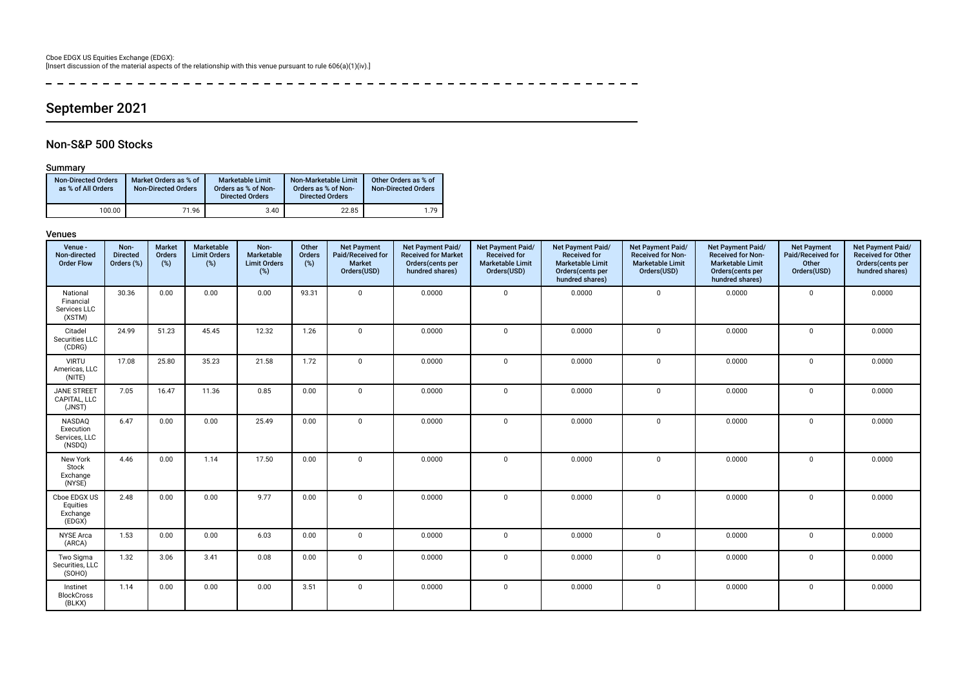----------------------- $\frac{1}{2}$ 

# September 2021

### Non-S&P 500 Stocks

### Summary

| <b>Non-Directed Orders</b><br>as % of All Orders | Market Orders as % of<br><b>Non-Directed Orders</b> | Marketable Limit<br>Orders as % of Non-<br><b>Directed Orders</b> | Non-Marketable Limit<br>Orders as % of Non-<br><b>Directed Orders</b> | Other Orders as % of<br><b>Non-Directed Orders</b> |
|--------------------------------------------------|-----------------------------------------------------|-------------------------------------------------------------------|-----------------------------------------------------------------------|----------------------------------------------------|
| 100.00                                           | 71.96                                               | 3.40                                                              | 22.85                                                                 | 179                                                |

| Venue -<br>Non-directed<br><b>Order Flow</b>    | Non-<br><b>Directed</b><br>Orders (%) | <b>Market</b><br>Orders<br>$(\%)$ | Marketable<br><b>Limit Orders</b><br>$(\%)$ | Non-<br>Marketable<br><b>Limit Orders</b><br>(%) | Other<br>Orders<br>(%) | <b>Net Payment</b><br>Paid/Received for<br>Market<br>Orders(USD) | Net Payment Paid/<br><b>Received for Market</b><br>Orders(cents per<br>hundred shares) | Net Payment Paid/<br><b>Received for</b><br><b>Marketable Limit</b><br>Orders(USD) | Net Payment Paid/<br><b>Received for</b><br><b>Marketable Limit</b><br>Orders(cents per<br>hundred shares) | Net Payment Paid/<br><b>Received for Non-</b><br><b>Marketable Limit</b><br>Orders(USD) | Net Payment Paid/<br><b>Received for Non-</b><br><b>Marketable Limit</b><br>Orders(cents per<br>hundred shares) | <b>Net Payment</b><br>Paid/Received for<br>Other<br>Orders(USD) | Net Payment Paid/<br><b>Received for Other</b><br>Orders(cents per<br>hundred shares) |
|-------------------------------------------------|---------------------------------------|-----------------------------------|---------------------------------------------|--------------------------------------------------|------------------------|------------------------------------------------------------------|----------------------------------------------------------------------------------------|------------------------------------------------------------------------------------|------------------------------------------------------------------------------------------------------------|-----------------------------------------------------------------------------------------|-----------------------------------------------------------------------------------------------------------------|-----------------------------------------------------------------|---------------------------------------------------------------------------------------|
| National<br>Financial<br>Services LLC<br>(XSTM) | 30.36                                 | 0.00                              | 0.00                                        | 0.00                                             | 93.31                  | $\Omega$                                                         | 0.0000                                                                                 | $\mathbf 0$                                                                        | 0.0000                                                                                                     | $\mathbf 0$                                                                             | 0.0000                                                                                                          | $\mathbf 0$                                                     | 0.0000                                                                                |
| Citadel<br>Securities LLC<br>(CDRG)             | 24.99                                 | 51.23                             | 45.45                                       | 12.32                                            | 1.26                   | $\Omega$                                                         | 0.0000                                                                                 | $\mathbf 0$                                                                        | 0.0000                                                                                                     | $\mathbf 0$                                                                             | 0.0000                                                                                                          | $\Omega$                                                        | 0.0000                                                                                |
| <b>VIRTU</b><br>Americas, LLC<br>(NITE)         | 17.08                                 | 25.80                             | 35.23                                       | 21.58                                            | 1.72                   | $\Omega$                                                         | 0.0000                                                                                 | $\mathbf 0$                                                                        | 0.0000                                                                                                     | $\mathbf 0$                                                                             | 0.0000                                                                                                          | $\Omega$                                                        | 0.0000                                                                                |
| <b>JANE STREET</b><br>CAPITAL, LLC<br>(JNST)    | 7.05                                  | 16.47                             | 11.36                                       | 0.85                                             | 0.00                   | $\Omega$                                                         | 0.0000                                                                                 | $\mathbf 0$                                                                        | 0.0000                                                                                                     | $\mathbf 0$                                                                             | 0.0000                                                                                                          | $\mathbf 0$                                                     | 0.0000                                                                                |
| NASDAQ<br>Execution<br>Services, LLC<br>(NSDQ)  | 6.47                                  | 0.00                              | 0.00                                        | 25.49                                            | 0.00                   | $\Omega$                                                         | 0.0000                                                                                 | $\mathbf 0$                                                                        | 0.0000                                                                                                     | $\mathbf 0$                                                                             | 0.0000                                                                                                          | $\Omega$                                                        | 0.0000                                                                                |
| New York<br>Stock<br>Exchange<br>(NYSE)         | 4.46                                  | 0.00                              | 1.14                                        | 17.50                                            | 0.00                   | $\Omega$                                                         | 0.0000                                                                                 | $\mathbf 0$                                                                        | 0.0000                                                                                                     | $\mathbf 0$                                                                             | 0.0000                                                                                                          | $\Omega$                                                        | 0.0000                                                                                |
| Cboe EDGX US<br>Equities<br>Exchange<br>(EDGX)  | 2.48                                  | 0.00                              | 0.00                                        | 9.77                                             | 0.00                   | $\Omega$                                                         | 0.0000                                                                                 | $\mathbf 0$                                                                        | 0.0000                                                                                                     | $\mathbf 0$                                                                             | 0.0000                                                                                                          | $\Omega$                                                        | 0.0000                                                                                |
| <b>NYSE Arca</b><br>(ARCA)                      | 1.53                                  | 0.00                              | 0.00                                        | 6.03                                             | 0.00                   | $\mathbf 0$                                                      | 0.0000                                                                                 | $\mathbf{0}$                                                                       | 0.0000                                                                                                     | $\mathbf 0$                                                                             | 0.0000                                                                                                          | $\mathbf 0$                                                     | 0.0000                                                                                |
| Two Sigma<br>Securities, LLC<br>(SOHO)          | 1.32                                  | 3.06                              | 3.41                                        | 0.08                                             | 0.00                   | $\Omega$                                                         | 0.0000                                                                                 | $\mathbf 0$                                                                        | 0.0000                                                                                                     | $\mathbf 0$                                                                             | 0.0000                                                                                                          | $\mathbf 0$                                                     | 0.0000                                                                                |
| Instinet<br><b>BlockCross</b><br>(BLKX)         | 1.14                                  | 0.00                              | 0.00                                        | 0.00                                             | 3.51                   | $\Omega$                                                         | 0.0000                                                                                 | $\mathbf 0$                                                                        | 0.0000                                                                                                     | $\mathbf 0$                                                                             | 0.0000                                                                                                          | $^{\circ}$                                                      | 0.0000                                                                                |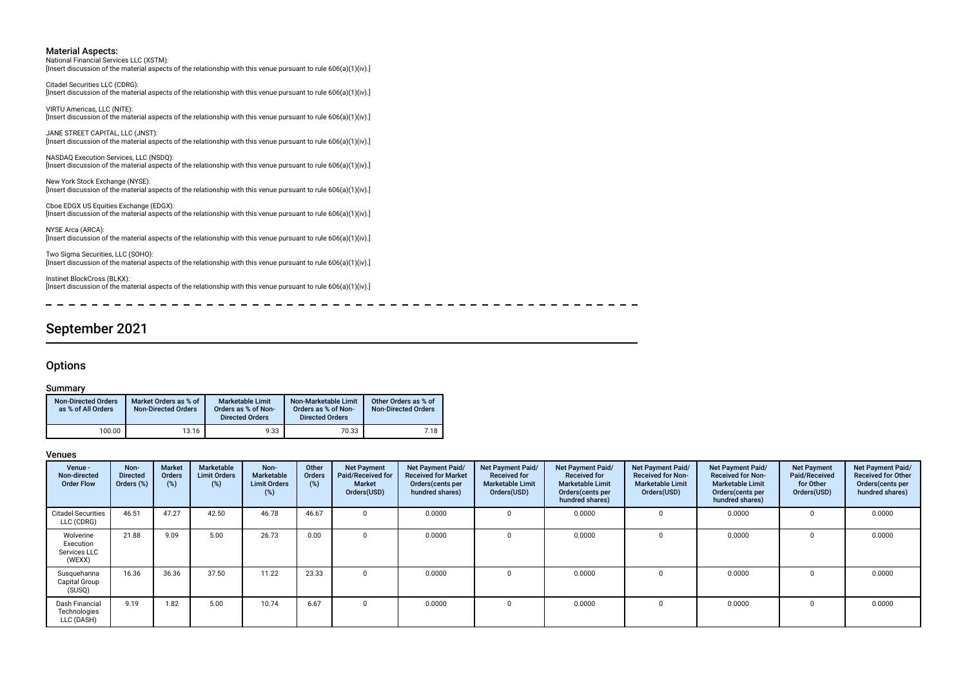National Financial Services LLC (XSTM): [Insert discussion of the material aspects of the relationship with this venue pursuant to rule 606(a)(1)(iv).]

Citadel Securities LLC (CDRG): [Insert discussion of the material aspects of the relationship with this venue pursuant to rule 606(a)(1)(iv).]

VIRTU Americas, LLC (NITE): [Insert discussion of the material aspects of the relationship with this venue pursuant to rule 606(a)(1)(iv).]

JANE STREET CAPITAL, LLC (JNST): [Insert discussion of the material aspects of the relationship with this venue pursuant to rule 606(a)(1)(iv).]

NASDAQ Execution Services, LLC (NSDQ): [Insert discussion of the material aspects of the relationship with this venue pursuant to rule 606(a)(1)(iv).]

New York Stock Exchange (NYSE): [Insert discussion of the material aspects of the relationship with this venue pursuant to rule 606(a)(1)(iv).]

Cboe EDGX US Equities Exchange (EDGX): [Insert discussion of the material aspects of the relationship with this venue pursuant to rule 606(a)(1)(iv).]

NYSE Arca (ARCA): [Insert discussion of the material aspects of the relationship with this venue pursuant to rule 606(a)(1)(iv).]

Two Sigma Securities, LLC (SOHO): [Insert discussion of the material aspects of the relationship with this venue pursuant to rule 606(a)(1)(iv).]

Instinet BlockCross (BLKX): [Insert discussion of the material aspects of the relationship with this venue pursuant to rule 606(a)(1)(iv).]

 $\overline{\phantom{0}}$  $\overline{\phantom{0}}$  $-$ 

# September 2021

#### **Options**

 $\sim$ 

#### Summary

| <b>Non-Directed Orders</b><br>as % of All Orders | Market Orders as % of<br><b>Non-Directed Orders</b> | <b>Marketable Limit</b><br>Orders as % of Non-<br><b>Directed Orders</b> | Non-Marketable Limit<br>Orders as % of Non-<br><b>Directed Orders</b> | Other Orders as % of<br><b>Non-Directed Orders</b> |
|--------------------------------------------------|-----------------------------------------------------|--------------------------------------------------------------------------|-----------------------------------------------------------------------|----------------------------------------------------|
| 100.00                                           | 13.16                                               | 9.33                                                                     | 70.33                                                                 | 7.18                                               |

| Venue -<br>Non-directed<br><b>Order Flow</b>     | Non-<br><b>Directed</b><br>Orders (%) | Market<br>Orders<br>(%) | Marketable<br><b>Limit Orders</b><br>(%) | Non-<br>Marketable<br><b>Limit Orders</b><br>(%) | Other<br><b>Orders</b><br>$(\%)$ | <b>Net Payment</b><br>Paid/Received for<br><b>Market</b><br>Orders(USD) | Net Payment Paid/<br><b>Received for Market</b><br>Orders (cents per<br>hundred shares) | Net Payment Paid/<br><b>Received for</b><br><b>Marketable Limit</b><br>Orders(USD) | Net Payment Paid/<br><b>Received for</b><br><b>Marketable Limit</b><br>Orders (cents per<br>hundred shares) | <b>Net Payment Paid/</b><br><b>Received for Non-</b><br><b>Marketable Limit</b><br>Orders(USD) | Net Payment Paid/<br><b>Received for Non-</b><br><b>Marketable Limit</b><br>Orders (cents per<br>hundred shares) | <b>Net Payment</b><br>Paid/Received<br>for Other<br>Orders(USD) | Net Payment Paid/<br><b>Received for Other</b><br>Orders(cents per<br>hundred shares) |
|--------------------------------------------------|---------------------------------------|-------------------------|------------------------------------------|--------------------------------------------------|----------------------------------|-------------------------------------------------------------------------|-----------------------------------------------------------------------------------------|------------------------------------------------------------------------------------|-------------------------------------------------------------------------------------------------------------|------------------------------------------------------------------------------------------------|------------------------------------------------------------------------------------------------------------------|-----------------------------------------------------------------|---------------------------------------------------------------------------------------|
| <b>Citadel Securities</b><br>LLC (CDRG)          | 46.51                                 | 47.27                   | 42.50                                    | 46.78                                            | 46.67                            |                                                                         | 0.0000                                                                                  | $\Omega$                                                                           | 0.0000                                                                                                      |                                                                                                | 0.0000                                                                                                           |                                                                 | 0.0000                                                                                |
| Wolverine<br>Execution<br>Services LLC<br>(WEXX) | 21.88                                 | 9.09                    | 5.00                                     | 26.73                                            | 0.00                             | U                                                                       | 0.0000                                                                                  | $\Omega$                                                                           | 0.0000                                                                                                      |                                                                                                | 0.0000                                                                                                           |                                                                 | 0.0000                                                                                |
| Susquehanna<br>Capital Group<br>(SUSQ)           | 16.36                                 | 36.36                   | 37.50                                    | 11.22                                            | 23.33                            |                                                                         | 0.0000                                                                                  | $\Omega$                                                                           | 0.0000                                                                                                      |                                                                                                | 0.0000                                                                                                           |                                                                 | 0.0000                                                                                |
| Dash Financial<br>Technologies<br>LLC (DASH)     | 9.19                                  | 1.82                    | 5.00                                     | 10.74                                            | 6.67                             | $\Omega$                                                                | 0.0000                                                                                  | $\Omega$                                                                           | 0.0000                                                                                                      |                                                                                                | 0.0000                                                                                                           |                                                                 | 0.0000                                                                                |